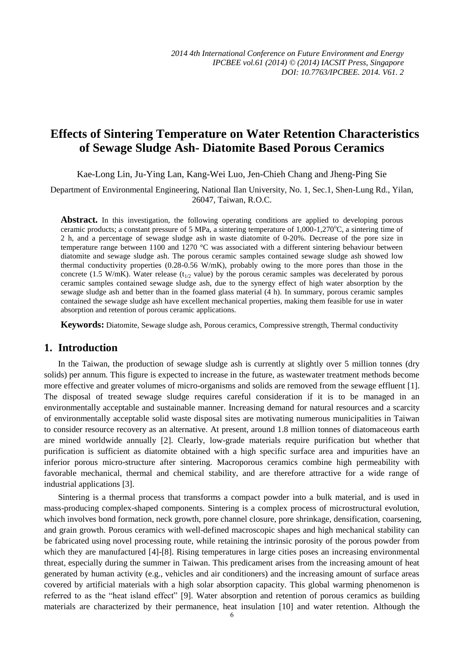# **Effects of Sintering Temperature on Water Retention Characteristics of Sewage Sludge Ash- Diatomite Based Porous Ceramics**

Kae-Long Lin, Ju-Ying Lan, Kang-Wei Luo, Jen-Chieh Chang and Jheng-Ping Sie

Department of Environmental Engineering, National Ilan University, No. 1, Sec.1, Shen-Lung Rd., Yilan, 26047, Taiwan, R.O.C.

Abstract. In this investigation, the following operating conditions are applied to developing porous ceramic products; a constant pressure of 5 MPa, a sintering temperature of  $1,000$ -1,270 $^{\circ}$ C, a sintering time of 2 h, and a percentage of sewage sludge ash in waste diatomite of 0-20%. Decrease of the pore size in temperature range between 1100 and 1270  $\mathbb{C}$  was associated with a different sintering behaviour between diatomite and sewage sludge ash. The porous ceramic samples contained sewage sludge ash showed low thermal conductivity properties (0.28-0.56 W/mK), probably owing to the more pores than those in the concrete (1.5 W/mK). Water release ( $t_{1/2}$  value) by the porous ceramic samples was decelerated by porous ceramic samples contained sewage sludge ash, due to the synergy effect of high water absorption by the sewage sludge ash and better than in the foamed glass material (4 h). In summary, porous ceramic samples contained the sewage sludge ash have excellent mechanical properties, making them feasible for use in water absorption and retention of porous ceramic applications.

**Keywords:** Diatomite, Sewage sludge ash, Porous ceramics, Compressive strength, Thermal conductivity

## **1. Introduction**

In the Taiwan, the production of sewage sludge ash is currently at slightly over 5 million tonnes (dry solids) per annum. This figure is expected to increase in the future, as wastewater treatment methods become more effective and greater volumes of micro-organisms and solids are removed from the sewage effluent [1]. The disposal of treated sewage sludge requires careful consideration if it is to be managed in an environmentally acceptable and sustainable manner. Increasing demand for natural resources and a scarcity of environmentally acceptable solid waste disposal sites are motivating numerous municipalities in Taiwan to consider resource recovery as an alternative. At present, around 1.8 million tonnes of diatomaceous earth are mined worldwide annually [2]. Clearly, low-grade materials require purification but whether that purification is sufficient as diatomite obtained with a high specific surface area and impurities have an inferior porous micro-structure after sintering. Macroporous ceramics combine high permeability with favorable mechanical, thermal and chemical stability, and are therefore attractive for a wide range of industrial applications [3].

Sintering is a thermal process that transforms a compact powder into a bulk material, and is used in mass-producing complex-shaped components. Sintering is a complex process of microstructural evolution, which involves bond formation, neck growth, pore channel closure, pore shrinkage, densification, coarsening, and grain growth. Porous ceramics with well-defined macroscopic shapes and high mechanical stability can be fabricated using novel processing route, while retaining the intrinsic porosity of the porous powder from which they are manufactured [4]-[8]. Rising temperatures in large cities poses an increasing environmental threat, especially during the summer in Taiwan. This predicament arises from the increasing amount of heat generated by human activity (e.g., vehicles and air conditioners) and the increasing amount of surface areas covered by artificial materials with a high solar absorption capacity. This global warming phenomenon is referred to as the "heat island effect" [9]. Water absorption and retention of porous ceramics as building materials are characterized by their permanence, heat insulation [10] and water retention. Although the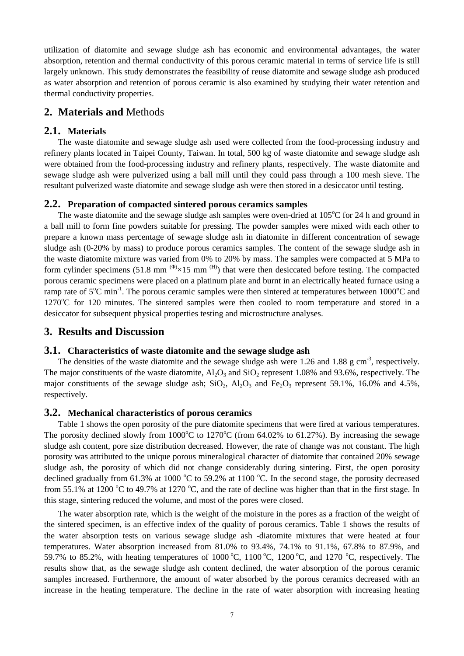utilization of diatomite and sewage sludge ash has economic and environmental advantages, the water absorption, retention and thermal conductivity of this porous ceramic material in terms of service life is still largely unknown. This study demonstrates the feasibility of reuse diatomite and sewage sludge ash produced as water absorption and retention of porous ceramic is also examined by studying their water retention and thermal conductivity properties.

## **2. Materials and** Methods

#### **2.1. Materials**

The waste diatomite and sewage sludge ash used were collected from the food-processing industry and refinery plants located in Taipei County, Taiwan. In total, 500 kg of waste diatomite and sewage sludge ash were obtained from the food-processing industry and refinery plants, respectively. The waste diatomite and sewage sludge ash were pulverized using a ball mill until they could pass through a 100 mesh sieve. The resultant pulverized waste diatomite and sewage sludge ash were then stored in a desiccator until testing.

#### **2.2. Preparation of compacted sintered porous ceramics samples**

The waste diatomite and the sewage sludge ash samples were oven-dried at  $105^{\circ}$ C for 24 h and ground in a ball mill to form fine powders suitable for pressing. The powder samples were mixed with each other to prepare a known mass percentage of sewage sludge ash in diatomite in different concentration of sewage sludge ash (0-20% by mass) to produce porous ceramics samples. The content of the sewage sludge ash in the waste diatomite mixture was varied from 0% to 20% by mass. The samples were compacted at 5 MPa to form cylinder specimens (51.8 mm  $(4)$  ×15 mm  $(H)$ ) that were then desiccated before testing. The compacted porous ceramic specimens were placed on a platinum plate and burnt in an electrically heated furnace using a ramp rate of  $5^{\circ}$ C min<sup>-1</sup>. The porous ceramic samples were then sintered at temperatures between 1000 $^{\circ}$ C and  $1270^{\circ}$ C for 120 minutes. The sintered samples were then cooled to room temperature and stored in a desiccator for subsequent physical properties testing and microstructure analyses.

## **3. Results and Discussion**

#### **3.1. Characteristics of waste diatomite and the sewage sludge ash**

The densities of the waste diatomite and the sewage sludge ash were 1.26 and 1.88 g cm<sup>-3</sup>, respectively. The major constituents of the waste diatomite,  $Al_2O_3$  and  $SiO_2$  represent 1.08% and 93.6%, respectively. The major constituents of the sewage sludge ash;  $SiO_2$ ,  $Al_2O_3$  and  $Fe_2O_3$  represent 59.1%, 16.0% and 4.5%, respectively.

#### **3.2. Mechanical characteristics of porous ceramics**

Table 1 shows the open porosity of the pure diatomite specimens that were fired at various temperatures. The porosity declined slowly from  $1000^{\circ}$ C to  $1270^{\circ}$ C (from 64.02% to 61.27%). By increasing the sewage sludge ash content, pore size distribution decreased. However, the rate of change was not constant. The high porosity was attributed to the unique porous mineralogical character of diatomite that contained 20% sewage sludge ash, the porosity of which did not change considerably during sintering. First, the open porosity declined gradually from 61.3% at 1000  $^{\circ}$ C to 59.2% at 1100  $^{\circ}$ C. In the second stage, the porosity decreased from 55.1% at 1200  $\degree$ C to 49.7% at 1270  $\degree$ C, and the rate of decline was higher than that in the first stage. In this stage, sintering reduced the volume, and most of the pores were closed.

The water absorption rate, which is the weight of the moisture in the pores as a fraction of the weight of the sintered specimen, is an effective index of the quality of porous ceramics. Table 1 shows the results of the water absorption tests on various sewage sludge ash -diatomite mixtures that were heated at four temperatures. Water absorption increased from 81.0% to 93.4%, 74.1% to 91.1%, 67.8% to 87.9%, and 59.7% to 85.2%, with heating temperatures of 1000 °C, 1100 °C, 1200 °C, and 1270 °C, respectively. The results show that, as the sewage sludge ash content declined, the water absorption of the porous ceramic samples increased. Furthermore, the amount of water absorbed by the porous ceramics decreased with an increase in the heating temperature. The decline in the rate of water absorption with increasing heating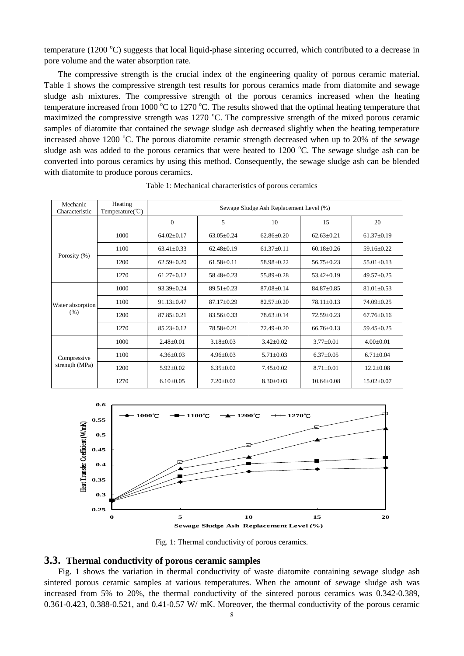temperature (1200  $^{\circ}$ C) suggests that local liquid-phase sintering occurred, which contributed to a decrease in pore volume and the water absorption rate.

The compressive strength is the crucial index of the engineering quality of porous ceramic material. Table 1 shows the compressive strength test results for porous ceramics made from diatomite and sewage sludge ash mixtures. The compressive strength of the porous ceramics increased when the heating temperature increased from 1000  $^{\circ}$ C to 1270  $^{\circ}$ C. The results showed that the optimal heating temperature that maximized the compressive strength was 1270  $\degree$ C. The compressive strength of the mixed porous ceramic samples of diatomite that contained the sewage sludge ash decreased slightly when the heating temperature increased above 1200 °C. The porous diatomite ceramic strength decreased when up to 20% of the sewage sludge ash was added to the porous ceramics that were heated to  $1200$  °C. The sewage sludge ash can be converted into porous ceramics by using this method. Consequently, the sewage sludge ash can be blended with diatomite to produce porous ceramics.

| Mechanic<br>Characteristic    | Heating<br>Temperature( $\degree$ C) | Sewage Sludge Ash Replacement Level (%) |                  |                  |                  |                  |
|-------------------------------|--------------------------------------|-----------------------------------------|------------------|------------------|------------------|------------------|
|                               |                                      | $\overline{0}$                          | 5                | 10               | 15               | 20               |
| Porosity (%)                  | 1000                                 | $64.02 \pm 0.17$                        | $63.05 + 0.24$   | $62.86 \pm 0.20$ | $62.63 \pm 0.21$ | $61.37 \pm 0.19$ |
|                               | 1100                                 | $63.41 \pm 0.33$                        | $62.48 \pm 0.19$ | $61.37 \pm 0.11$ | $60.18 + 0.26$   | $59.16 \pm 0.22$ |
|                               | 1200                                 | $62.59 + 0.20$                          | $61.58 + 0.11$   | 58.98±0.22       | $56.75 + 0.23$   | $55.01 \pm 0.13$ |
|                               | 1270                                 | $61.27 \pm 0.12$                        | $58.48 \pm 0.23$ | 55.89±0.28       | $53.42 \pm 0.19$ | $49.57 + 0.25$   |
| Water absorption<br>(% )      | 1000                                 | $93.39 + 0.24$                          | $89.51 + 0.23$   | $87.08 \pm 0.14$ | $84.87 + 0.85$   | $81.01 \pm 0.53$ |
|                               | 1100                                 | $91.13 \pm 0.47$                        | $87.17 \pm 0.29$ | $82.57 \pm 0.20$ | $78.11 \pm 0.13$ | $74.09 \pm 0.25$ |
|                               | 1200                                 | $87.85 + 0.21$                          | $83.56 + 0.33$   | $78.63 \pm 0.14$ | $72.59 + 0.23$   | $67.76 + 0.16$   |
|                               | 1270                                 | $85.23 \pm 0.12$                        | $78.58 + 0.21$   | $72.49 \pm 0.20$ | $66.76 + 0.13$   | $59.45 \pm 0.25$ |
| Compressive<br>strength (MPa) | 1000                                 | $2.48 + 0.01$                           | $3.18 \pm 0.03$  | $3.42 \pm 0.02$  | $3.77 \pm 0.01$  | $4.00 + 0.01$    |
|                               | 1100                                 | $4.36 \pm 0.03$                         | $4.96 \pm 0.03$  | $5.71 \pm 0.03$  | $6.37 \pm 0.05$  | $6.71 + 0.04$    |
|                               | 1200                                 | $5.92 \pm 0.02$                         | $6.35 \pm 0.02$  | $7.45 \pm 0.02$  | $8.71 \pm 0.01$  | $12.2 \pm 0.08$  |
|                               | 1270                                 | $6.10 + 0.05$                           | $7.20 \pm 0.02$  | $8.30 \pm 0.03$  | $10.64 + 0.08$   | $15.02 \pm 0.07$ |

Table 1: Mechanical characteristics of porous ceramics



Fig. 1: Thermal conductivity of porous ceramics.

#### **3.3. Thermal conductivity of porous ceramic samples**

Fig. 1 shows the variation in thermal conductivity of waste diatomite containing sewage sludge ash sintered porous ceramic samples at various temperatures. When the amount of sewage sludge ash was increased from 5% to 20%, the thermal conductivity of the sintered porous ceramics was 0.342-0.389, 0.361-0.423, 0.388-0.521, and 0.41-0.57 W/ mK. Moreover, the thermal conductivity of the porous ceramic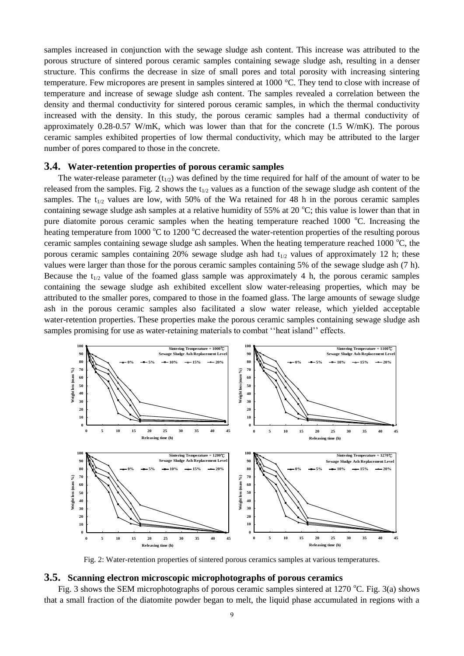samples increased in conjunction with the sewage sludge ash content. This increase was attributed to the porous structure of sintered porous ceramic samples containing sewage sludge ash, resulting in a denser structure. This confirms the decrease in size of small pores and total porosity with increasing sintering temperature. Few micropores are present in samples sintered at 1000 °C. They tend to close with increase of temperature and increase of sewage sludge ash content. The samples revealed a correlation between the density and thermal conductivity for sintered porous ceramic samples, in which the thermal conductivity increased with the density. In this study, the porous ceramic samples had a thermal conductivity of approximately  $0.28-0.57$  W/mK, which was lower than that for the concrete  $(1.5 \text{ W/mK})$ . The porous ceramic samples exhibited properties of low thermal conductivity, which may be attributed to the larger number of pores compared to those in the concrete.

#### **3.4. Water-retention properties of porous ceramic samples**

The water-release parameter  $(t_{1/2})$  was defined by the time required for half of the amount of water to be released from the samples. Fig. 2 shows the  $t_{1/2}$  values as a function of the sewage sludge ash content of the samples. The  $t_{1/2}$  values are low, with 50% of the Wa retained for 48 h in the porous ceramic samples containing sewage sludge ash samples at a relative humidity of 55% at 20  $^{\circ}$ C; this value is lower than that in pure diatomite porous ceramic samples when the heating temperature reached 1000 °C. Increasing the heating temperature from 1000  $^{\circ}$ C to 1200  $^{\circ}$ C decreased the water-retention properties of the resulting porous ceramic samples containing sewage sludge ash samples. When the heating temperature reached 1000  $^{\circ}$ C, the porous ceramic samples containing 20% sewage sludge ash had  $t_{1/2}$  values of approximately 12 h; these values were larger than those for the porous ceramic samples containing 5% of the sewage sludge ash (7 h). Because the  $t_{1/2}$  value of the foamed glass sample was approximately 4 h, the porous ceramic samples containing the sewage sludge ash exhibited excellent slow water-releasing properties, which may be attributed to the smaller pores, compared to those in the foamed glass. The large amounts of sewage sludge ash in the porous ceramic samples also facilitated a slow water release, which yielded acceptable water-retention properties. These properties make the porous ceramic samples containing sewage sludge ash samples promising for use as water-retaining materials to combat ''heat island'' effects.



Fig. 2: Water-retention properties of sintered porous ceramics samples at various temperatures.

#### **3.5. Scanning electron microscopic microphotographs of porous ceramics**

Fig. 3 shows the SEM microphotographs of porous ceramic samples sintered at 1270 °C. Fig. 3(a) shows that a small fraction of the diatomite powder began to melt, the liquid phase accumulated in regions with a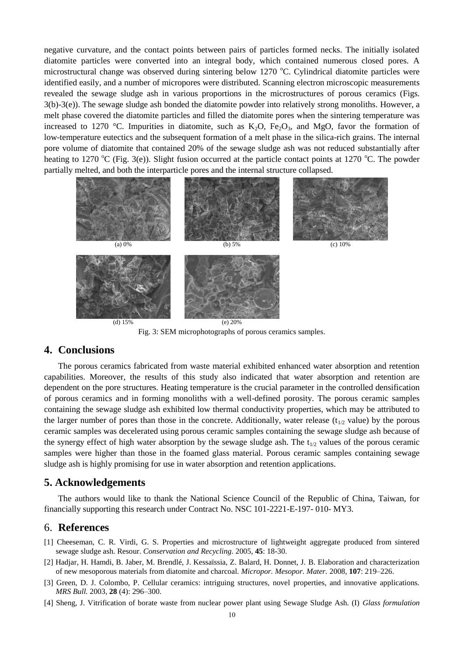negative curvature, and the contact points between pairs of particles formed necks. The initially isolated diatomite particles were converted into an integral body, which contained numerous closed pores. A microstructural change was observed during sintering below 1270  $^{\circ}$ C. Cylindrical diatomite particles were identified easily, and a number of micropores were distributed. Scanning electron microscopic measurements revealed the sewage sludge ash in various proportions in the microstructures of porous ceramics (Figs. 3(b)-3(e)). The sewage sludge ash bonded the diatomite powder into relatively strong monoliths. However, a melt phase covered the diatomite particles and filled the diatomite pores when the sintering temperature was increased to 1270 °C. Impurities in diatomite, such as  $K_2O$ ,  $Fe_2O_3$ , and MgO, favor the formation of low-temperature eutectics and the subsequent formation of a melt phase in the silica-rich grains. The internal pore volume of diatomite that contained 20% of the sewage sludge ash was not reduced substantially after heating to 1270 °C (Fig. 3(e)). Slight fusion occurred at the particle contact points at 1270 °C. The powder partially melted, and both the interparticle pores and the internal structure collapsed.



Fig. 3: SEM microphotographs of porous ceramics samples.

## **4. Conclusions**

The porous ceramics fabricated from waste material exhibited enhanced water absorption and retention capabilities. Moreover, the results of this study also indicated that water absorption and retention are dependent on the pore structures. Heating temperature is the crucial parameter in the controlled densification of porous ceramics and in forming monoliths with a well-defined porosity. The porous ceramic samples containing the sewage sludge ash exhibited low thermal conductivity properties, which may be attributed to the larger number of pores than those in the concrete. Additionally, water release  $(t_{1/2}$  value) by the porous ceramic samples was decelerated using porous ceramic samples containing the sewage sludge ash because of the synergy effect of high water absorption by the sewage sludge ash. The  $t_{1/2}$  values of the porous ceramic samples were higher than those in the foamed glass material. Porous ceramic samples containing sewage sludge ash is highly promising for use in water absorption and retention applications.

## **5. Acknowledgements**

The authors would like to thank the National Science Council of the Republic of China, Taiwan, for financially supporting this research under Contract No. NSC 101-2221-E-197- 010- MY3.

## 6. **References**

- [1] Cheeseman, C. R. Virdi, G. S. Properties and microstructure of lightweight aggregate produced from sintered sewage sludge ash. Resour. *Conservation and Recycling.* 2005, **45**: 18-30.
- [2] Hadjar, H. Hamdi, B. Jaber, M. Brendl é, J. Kessa issia, Z. Balard, H. Donnet, J. B. Elaboration and characterization of new mesoporous materials from diatomite and charcoal. *Micropor. Mesopor. Mater.* 2008, **107**: 219–226.
- [3] Green, D. J. Colombo, P. Cellular ceramics: intriguing structures, novel properties, and innovative applications. *MRS Bull.* 2003, **28** (4): 296–300.
- [4] Sheng, J. Vitrification of borate waste from nuclear power plant using Sewage Sludge Ash. (I) *Glass formulation*